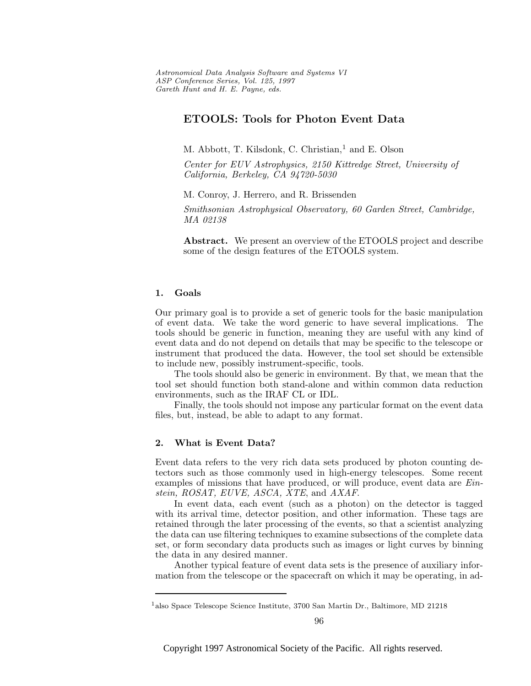Astronomical Data Analysis Software and Systems VI ASP Conference Series, Vol. 125, 1997 Gareth Hunt and H. E. Payne, e ds.

# **ETOOLS: Tools for Photon Event Data**

M. Abbott, T. Kilsdonk, C. Christian,<sup>1</sup> and E. Olson

Center for EUV Astrophysics, 2150 Kittredge Street, University of California, Berkeley, CA 94720-5030

M. Conroy, J. Herrero, and R. Brissenden

Smithsonian Astrophysical Observatory, 60 Garden Street, Cambridge, MA 02138

**Abstract.** We present an overview of the ETOOLS project and describe some of the design features of the ETOOLS system.

### **1. Goals**

Our primary goal is to provide a set of generic tools for the basic manipulation of event data. We take the word generic to have several implications. The tools should be generic in function, meaning they are useful with any kind of event data and do not depend on details that may be specific to the telescope or instrument that produced the data. However, the tool set should be extensible to include new, possibly instrument-specific, tools.

The tools should also be generic in environment. By that, we mean that the tool set should function both stand-alone and within common data reduction environments, such as the IRAF CL or IDL.

Finally, the tools should not impose any particular format on the event data files, but, instead, be able to adapt to any format.

## **2. What is Event Data?**

Event data refers to the very rich data sets produced by photon counting detectors such as those commonly used in high-energy telescopes. Some recent examples of missions that have produced, or will produce, event data are *Ein*stein, ROSAT, EUVE, ASCA, XTE, and AXAF.

In event data, each event (such as a photon) on the detector is tagged with its arrival time, detector position, and other information. These tags are retained through the later processing of the events, so that a scientist analyzing the data can use filtering techniques to examine subsections of the complete data set, or form secondary data products such as images or light curves by binning the data in any desired manner.

Another typical feature of event data sets is the presence of auxiliary information from the telescope or the spacecraft on which it may be operating, in ad-

<sup>1</sup>also Space Telescope Science Institute, 3700 San Martin Dr., Baltimore, MD 21218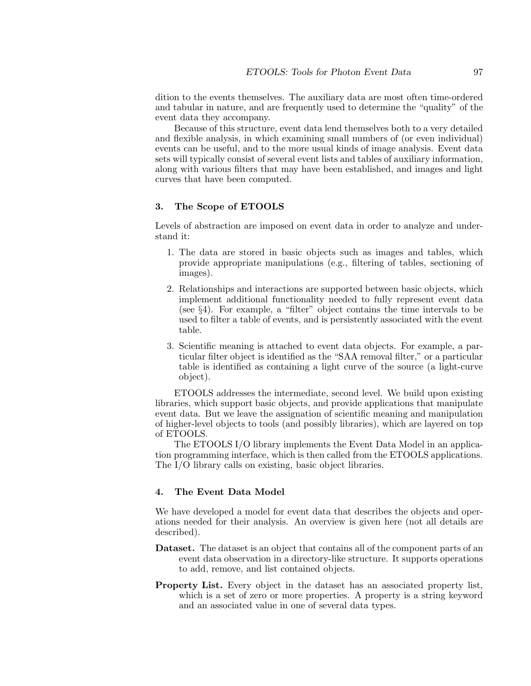dition to the events themselves. The auxiliary data are most often time-ordered and tabular in nature, and are frequently used to determine the "quality" of the event data they accompany.

Because of this structure, event data lend themselves both to a very detailed and flexible analysis, in which examining small numbers of (or even individual) events can be useful, and to the more usual kinds of image analysis. Event data sets will typically consist of several event lists and tables of auxiliary information, along with various filters that may have been established, and images and light curves that have been computed.

#### **3. The Scope of ETOOLS**

Levels of abstraction are imposed on event data in order to analyze and understand it:

- 1. The data are stored in basic objects such as images and tables, which provide appropriate manipulations (e.g., filtering of tables, sectioning of images).
- 2. Relationships and interactions are supported between basic objects, which implement additional functionality needed to fully represent event data (see §4). For example, a "filter" object contains the time intervals to be used to filter a table of events, and is persistently associated with the event table.
- 3. Scientific meaning is attached to event data objects. For example, a particular filter object is identified as the "SAA removal filter," or a particular table is identified as containing a light curve of the source (a light-curve object).

ETOOLS addresses the intermediate, second level. We build upon existing libraries, which support basic objects, and provide applications that manipulate event data. But we leave the assignation of scientific meaning and manipulation of higher-level objects to tools (and possibly libraries), which are layered on top of ETOOLS.

The ETOOLS I/O library implements the Event Data Model in an application programming interface, which is then called from the ETOOLS applications. The I/O library calls on existing, basic object libraries.

#### **4. The Event Data Model**

We have developed a model for event data that describes the objects and operations needed for their analysis. An overview is given here (not all details are described).

- **Dataset.** The dataset is an object that contains all of the component parts of an event data observation in a directory-like structure. It supports operations to add, remove, and list contained objects.
- **Property List.** Every object in the dataset has an associated property list, which is a set of zero or more properties. A property is a string keyword and an associated value in one of several data types.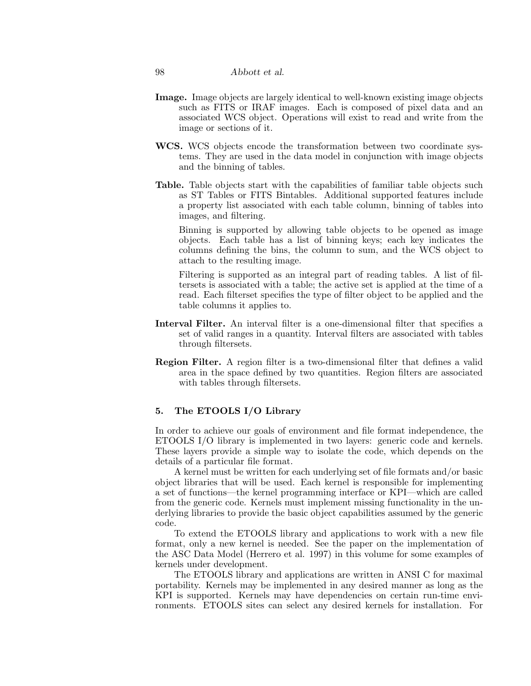- **Image.** Image objects are largely identical to well-known existing image objects such as FITS or IRAF images. Each is composed of pixel data and an associated WCS object. Operations will exist to read and write from the image or sections of it.
- **WCS.** WCS objects encode the transformation between two coordinate systems. They are used in the data model in conjunction with image objects and the binning of tables.
- **Table.** Table objects start with the capabilities of familiar table objects such as ST Tables or FITS Bintables. Additional supported features include a property list associated with each table column, binning of tables into images, and filtering.

Binning is supported by allowing table objects to be opened as image objects. Each table has a list of binning keys; each key indicates the columns defining the bins, the column to sum, and the WCS object to attach to the resulting image.

Filtering is supported as an integral part of reading tables. A list of filtersets is associated with a table; the active set is applied at the time of a read. Each filterset specifies the type of filter object to be applied and the table columns it applies to.

- **Interval Filter.** An interval filter is a one-dimensional filter that specifies a set of valid ranges in a quantity. Interval filters are associated with tables through filtersets.
- **Region Filter.** A region filter is a two-dimensional filter that defines a valid area in the space defined by two quantities. Region filters are associated with tables through filtersets.

#### **5. The ETOOLS I/O Library**

In order to achieve our goals of environment and file format independence, the ETOOLS I/O library is implemented in two layers: generic code and kernels. These layers provide a simple way to isolate the code, which depends on the details of a particular file format.

A kernel must be written for each underlying set of file formats and/or basic object libraries that will be used. Each kernel is responsible for implementing a set of functions—the kernel programming interface or KPI—which are called from the generic code. Kernels must implement missing functionality in the underlying libraries to provide the basic object capabilities assumed by the generic code.

To extend the ETOOLS library and applications to work with a new file format, only a new kernel is needed. See the paper on the implementation of the ASC Data Model (Herrero et al. 1997) in this volume for some examples of kernels under development.

The ETOOLS library and applications are written in ANSI C for maximal portability. Kernels may be implemented in any desired manner as long as the KPI is supported. Kernels may have dependencies on certain run-time environments. ETOOLS sites can select any desired kernels for installation. For